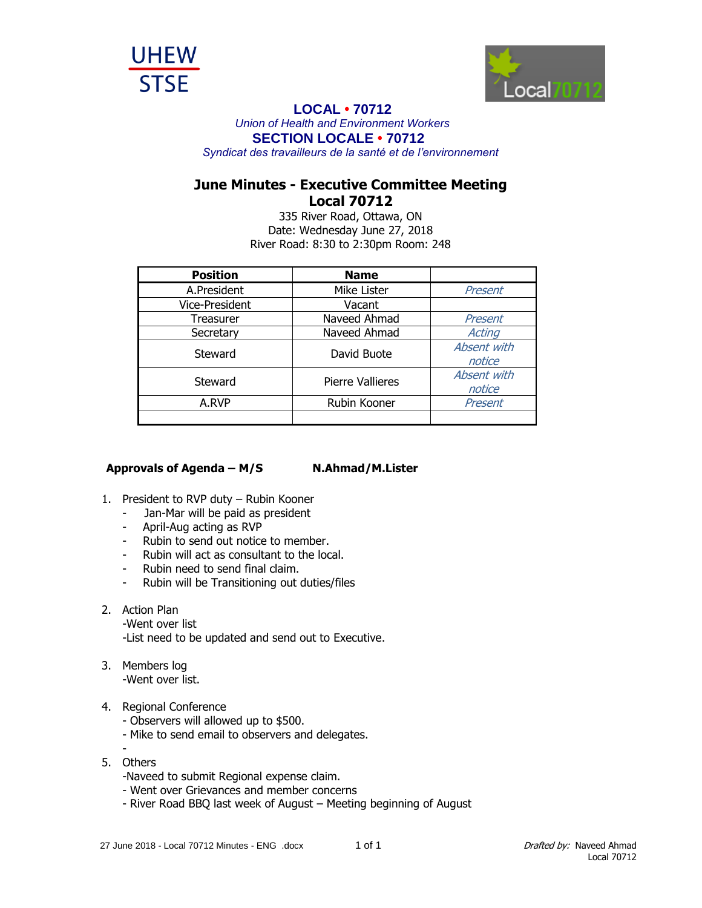



## **LOCAL • 70712**

*Union of Health and Environment Workers* **SECTION LOCALE • 70712**

*Syndicat des travailleurs de la santé et de l'environnement*

## **June Minutes - Executive Committee Meeting Local 70712**

335 River Road, Ottawa, ON Date: Wednesday June 27, 2018 River Road: 8:30 to 2:30pm Room: 248

| <b>Position</b> | <b>Name</b>      |             |
|-----------------|------------------|-------------|
| A.President     | Mike Lister      | Present     |
| Vice-President  | Vacant           |             |
| Treasurer       | Naveed Ahmad     | Present     |
| Secretary       | Naveed Ahmad     | Acting      |
| Steward         | David Buote      | Absent with |
|                 |                  | notice      |
| Steward         | Pierre Vallieres | Absent with |
|                 |                  | notice      |
| A.RVP           | Rubin Kooner     | Present     |
|                 |                  |             |

## **Approvals of Agenda – M/S N.Ahmad/M.Lister**

- 1. President to RVP duty Rubin Kooner
	- Jan-Mar will be paid as president
	- April-Aug acting as RVP
	- Rubin to send out notice to member.
	- Rubin will act as consultant to the local.
	- Rubin need to send final claim.
	- Rubin will be Transitioning out duties/files
- 2. Action Plan
	- -Went over list

-List need to be updated and send out to Executive.

- 3. Members log -Went over list.
- 4. Regional Conference
	- Observers will allowed up to \$500.
	- Mike to send email to observers and delegates.
	- -
- 5. Others
	- -Naveed to submit Regional expense claim.
	- Went over Grievances and member concerns
	- River Road BBQ last week of August Meeting beginning of August